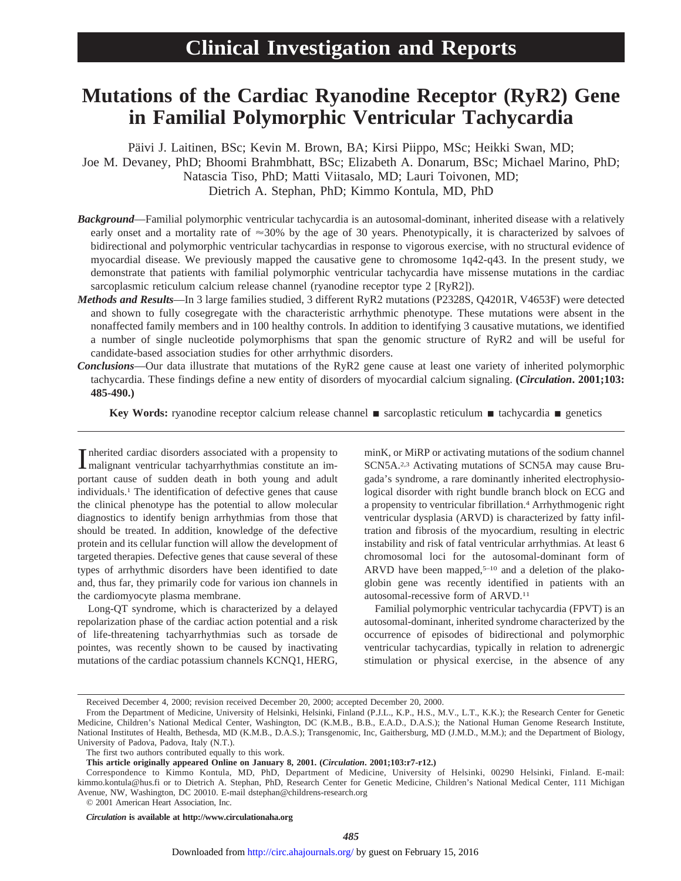# **Mutations of the Cardiac Ryanodine Receptor (RyR2) Gene in Familial Polymorphic Ventricular Tachycardia**

Päivi J. Laitinen, BSc; Kevin M. Brown, BA; Kirsi Piippo, MSc; Heikki Swan, MD; Joe M. Devaney, PhD; Bhoomi Brahmbhatt, BSc; Elizabeth A. Donarum, BSc; Michael Marino, PhD; Natascia Tiso, PhD; Matti Viitasalo, MD; Lauri Toivonen, MD; Dietrich A. Stephan, PhD; Kimmo Kontula, MD, PhD

- *Background*—Familial polymorphic ventricular tachycardia is an autosomal-dominant, inherited disease with a relatively early onset and a mortality rate of  $\approx 30\%$  by the age of 30 years. Phenotypically, it is characterized by salvoes of bidirectional and polymorphic ventricular tachycardias in response to vigorous exercise, with no structural evidence of myocardial disease. We previously mapped the causative gene to chromosome 1q42-q43. In the present study, we demonstrate that patients with familial polymorphic ventricular tachycardia have missense mutations in the cardiac sarcoplasmic reticulum calcium release channel (ryanodine receptor type 2 [RyR2]).
- *Methods and Results*—In 3 large families studied, 3 different RyR2 mutations (P2328S, Q4201R, V4653F) were detected and shown to fully cosegregate with the characteristic arrhythmic phenotype. These mutations were absent in the nonaffected family members and in 100 healthy controls. In addition to identifying 3 causative mutations, we identified a number of single nucleotide polymorphisms that span the genomic structure of RyR2 and will be useful for candidate-based association studies for other arrhythmic disorders.
- *Conclusions*—Our data illustrate that mutations of the RyR2 gene cause at least one variety of inherited polymorphic tachycardia. These findings define a new entity of disorders of myocardial calcium signaling. **(***Circulation***. 2001;103: 485-490.)**

**Key Words:** ryanodine receptor calcium release channel **n** sarcoplastic reticulum **n** tachycardia **n** genetics

Inherited cardiac disorders associated with a propensity to malignant ventricular tachyarrhythmias constitute an immalignant ventricular tachyarrhythmias constitute an important cause of sudden death in both young and adult individuals.1 The identification of defective genes that cause the clinical phenotype has the potential to allow molecular diagnostics to identify benign arrhythmias from those that should be treated. In addition, knowledge of the defective protein and its cellular function will allow the development of targeted therapies. Defective genes that cause several of these types of arrhythmic disorders have been identified to date and, thus far, they primarily code for various ion channels in the cardiomyocyte plasma membrane.

Long-QT syndrome, which is characterized by a delayed repolarization phase of the cardiac action potential and a risk of life-threatening tachyarrhythmias such as torsade de pointes, was recently shown to be caused by inactivating mutations of the cardiac potassium channels KCNQ1, HERG, minK, or MiRP or activating mutations of the sodium channel SCN5A.2,3 Activating mutations of SCN5A may cause Brugada's syndrome, a rare dominantly inherited electrophysiological disorder with right bundle branch block on ECG and a propensity to ventricular fibrillation.4 Arrhythmogenic right ventricular dysplasia (ARVD) is characterized by fatty infiltration and fibrosis of the myocardium, resulting in electric instability and risk of fatal ventricular arrhythmias. At least 6 chromosomal loci for the autosomal-dominant form of ARVD have been mapped, $5-10$  and a deletion of the plakoglobin gene was recently identified in patients with an autosomal-recessive form of ARVD.11

Familial polymorphic ventricular tachycardia (FPVT) is an autosomal-dominant, inherited syndrome characterized by the occurrence of episodes of bidirectional and polymorphic ventricular tachycardias, typically in relation to adrenergic stimulation or physical exercise, in the absence of any

*Circulation* **is available at http://www.circulationaha.org**

Received December 4, 2000; revision received December 20, 2000; accepted December 20, 2000.

From the Department of Medicine, University of Helsinki, Helsinki, Finland (P.J.L., K.P., H.S., M.V., L.T., K.K.); the Research Center for Genetic Medicine, Children's National Medical Center, Washington, DC (K.M.B., B.B., E.A.D., D.A.S.); the National Human Genome Research Institute, National Institutes of Health, Bethesda, MD (K.M.B., D.A.S.); Transgenomic, Inc, Gaithersburg, MD (J.M.D., M.M.); and the Department of Biology, University of Padova, Padova, Italy (N.T.).

The first two authors contributed equally to this work.

**This article originally appeared Online on January 8, 2001. (***Circulation***. 2001;103:r7-r12.)**

Correspondence to Kimmo Kontula, MD, PhD, Department of Medicine, University of Helsinki, 00290 Helsinki, Finland. E-mail: kimmo.kontula@hus.fi or to Dietrich A. Stephan, PhD, Research Center for Genetic Medicine, Children's National Medical Center, 111 Michigan Avenue, NW, Washington, DC 20010. E-mail dstephan@childrens-research.org

<sup>© 2001</sup> American Heart Association, Inc.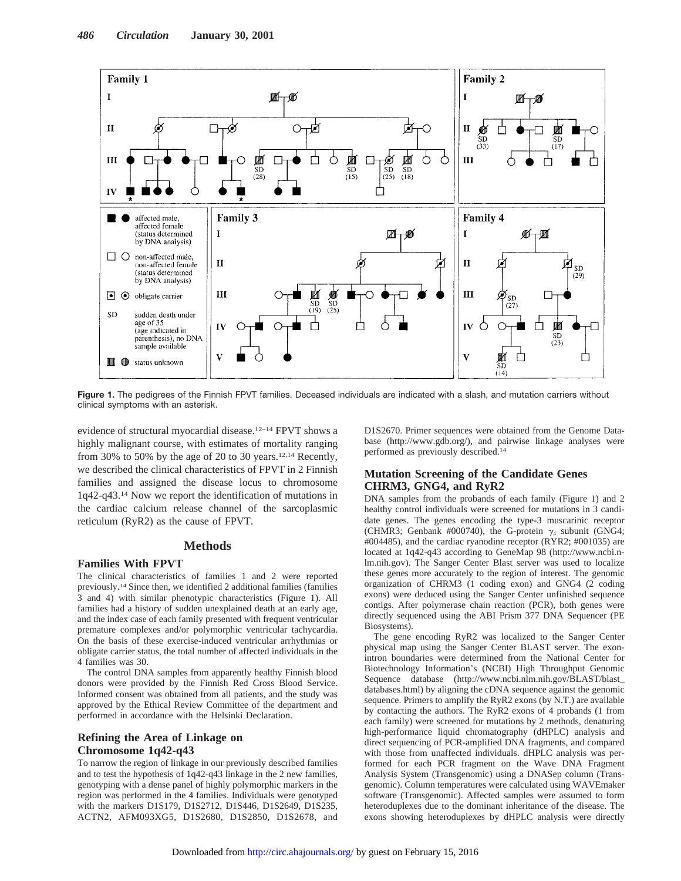

**Figure 1.** The pedigrees of the Finnish FPVT families. Deceased individuals are indicated with a slash, and mutation carriers without clinical symptoms with an asterisk.

evidence of structural myocardial disease.12–14 FPVT shows a highly malignant course, with estimates of mortality ranging from 30% to 50% by the age of 20 to 30 years.12,14 Recently, we described the clinical characteristics of FPVT in 2 Finnish families and assigned the disease locus to chromosome 1q42-q43.14 Now we report the identification of mutations in the cardiac calcium release channel of the sarcoplasmic reticulum (RyR2) as the cause of FPVT.

## **Methods**

#### **Families With FPVT**

The clinical characteristics of families 1 and 2 were reported previously.14 Since then, we identified 2 additional families (families 3 and 4) with similar phenotypic characteristics (Figure 1). All families had a history of sudden unexplained death at an early age, and the index case of each family presented with frequent ventricular premature complexes and/or polymorphic ventricular tachycardia. On the basis of these exercise-induced ventricular arrhythmias or obligate carrier status, the total number of affected individuals in the 4 families was 30.

The control DNA samples from apparently healthy Finnish blood donors were provided by the Finnish Red Cross Blood Service. Informed consent was obtained from all patients, and the study was approved by the Ethical Review Committee of the department and performed in accordance with the Helsinki Declaration.

## **Refining the Area of Linkage on Chromosome 1q42-q43**

To narrow the region of linkage in our previously described families and to test the hypothesis of 1q42-q43 linkage in the 2 new families, genotyping with a dense panel of highly polymorphic markers in the region was performed in the 4 families. Individuals were genotyped with the markers D1S179, D1S2712, D1S446, D1S2649, D1S235, ACTN2, AFM093XG5, D1S2680, D1S2850, D1S2678, and D1S2670. Primer sequences were obtained from the Genome Database (http://www.gdb.org/), and pairwise linkage analyses were performed as previously described.14

## **Mutation Screening of the Candidate Genes CHRM3, GNG4, and RyR2**

DNA samples from the probands of each family (Figure 1) and 2 healthy control individuals were screened for mutations in 3 candidate genes. The genes encoding the type-3 muscarinic receptor (CHMR3; Genbank #000740), the G-protein  $\gamma_4$  subunit (GNG4; #004485), and the cardiac ryanodine receptor (RYR2; #001035) are located at 1q42-q43 according to GeneMap 98 (http://www.ncbi.nlm.nih.gov). The Sanger Center Blast server was used to localize these genes more accurately to the region of interest. The genomic organization of CHRM3 (1 coding exon) and GNG4 (2 coding exons) were deduced using the Sanger Center unfinished sequence contigs. After polymerase chain reaction (PCR), both genes were directly sequenced using the ABI Prism 377 DNA Sequencer (PE Biosystems).

The gene encoding RyR2 was localized to the Sanger Center physical map using the Sanger Center BLAST server. The exonintron boundaries were determined from the National Center for Biotechnology Information's (NCBI) High Throughput Genomic Sequence database (http://www.ncbi.nlm.nih.gov/BLAST/blast\_ databases.html) by aligning the cDNA sequence against the genomic sequence. Primers to amplify the RyR2 exons (by N.T.) are available by contacting the authors. The RyR2 exons of 4 probands (1 from each family) were screened for mutations by 2 methods, denaturing high-performance liquid chromatography (dHPLC) analysis and direct sequencing of PCR-amplified DNA fragments, and compared with those from unaffected individuals. dHPLC analysis was performed for each PCR fragment on the Wave DNA Fragment Analysis System (Transgenomic) using a DNASep column (Transgenomic). Column temperatures were calculated using WAVEmaker software (Transgenomic). Affected samples were assumed to form heteroduplexes due to the dominant inheritance of the disease. The exons showing heteroduplexes by dHPLC analysis were directly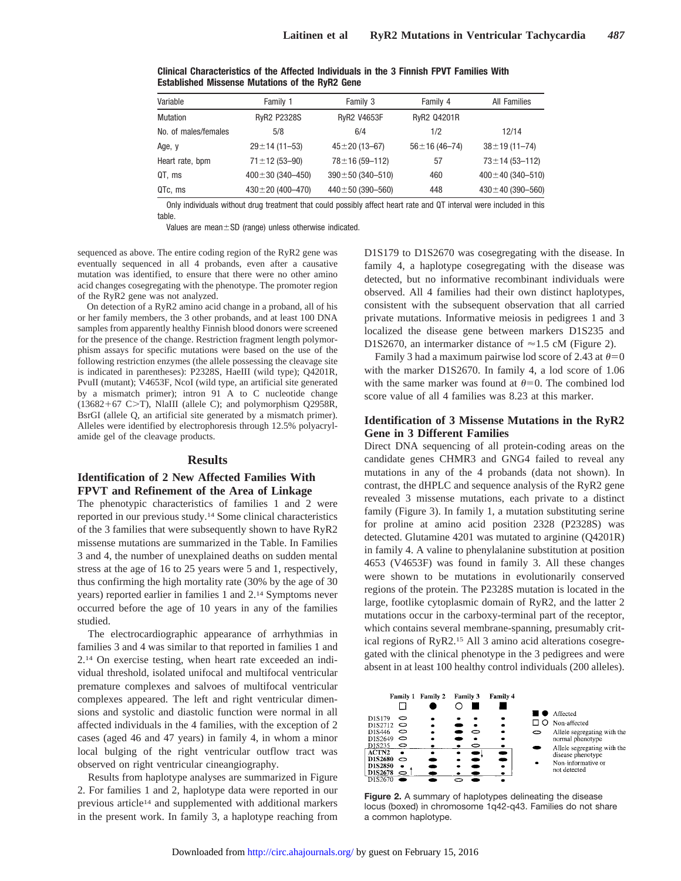| Variable             | Family 1               | Family 3               | Family 4              | <b>All Families</b>    |
|----------------------|------------------------|------------------------|-----------------------|------------------------|
| Mutation             | <b>RyR2 P2328S</b>     | <b>RyR2 V4653F</b>     | RyR2 Q4201R           |                        |
| No. of males/females | 5/8                    | 6/4                    | 1/2                   | 12/14                  |
| Age, y               | $29 \pm 14$ (11-53)    | $45 \pm 20$ (13-67)    | $56 \pm 16 (46 - 74)$ | $38 \pm 19(11 - 74)$   |
| Heart rate, bpm      | $71 \pm 12 (53 - 90)$  | $78 \pm 16(59 - 112)$  | 57                    | $73 \pm 14$ (53-112)   |
| QT, ms               | $400 \pm 30$ (340-450) | $390 \pm 50$ (340-510) | 460                   | $400 \pm 40$ (340-510) |
| QTc, ms              | $430 \pm 20$ (400-470) | $440 \pm 50$ (390-560) | 448                   | $430 \pm 40$ (390-560) |

**Clinical Characteristics of the Affected Individuals in the 3 Finnish FPVT Families With Established Missense Mutations of the RyR2 Gene**

Only individuals without drug treatment that could possibly affect heart rate and QT interval were included in this table.

Values are mean $\pm$ SD (range) unless otherwise indicated.

sequenced as above. The entire coding region of the RyR2 gene was eventually sequenced in all 4 probands, even after a causative mutation was identified, to ensure that there were no other amino acid changes cosegregating with the phenotype. The promoter region of the RyR2 gene was not analyzed.

On detection of a RyR2 amino acid change in a proband, all of his or her family members, the 3 other probands, and at least 100 DNA samples from apparently healthy Finnish blood donors were screened for the presence of the change. Restriction fragment length polymorphism assays for specific mutations were based on the use of the following restriction enzymes (the allele possessing the cleavage site is indicated in parentheses): P2328S, HaeIII (wild type); Q4201R, PvuII (mutant); V4653F, NcoI (wild type, an artificial site generated by a mismatch primer); intron 91 A to C nucleotide change  $(13682+67 \text{ C}>T)$ , NlaIII (allele C); and polymorphism Q2958R, BsrGI (allele Q, an artificial site generated by a mismatch primer). Alleles were identified by electrophoresis through 12.5% polyacrylamide gel of the cleavage products.

### **Results**

## **Identification of 2 New Affected Families With FPVT and Refinement of the Area of Linkage**

The phenotypic characteristics of families 1 and 2 were reported in our previous study.14 Some clinical characteristics of the 3 families that were subsequently shown to have RyR2 missense mutations are summarized in the Table. In Families 3 and 4, the number of unexplained deaths on sudden mental stress at the age of 16 to 25 years were 5 and 1, respectively, thus confirming the high mortality rate (30% by the age of 30 years) reported earlier in families 1 and 2.14 Symptoms never occurred before the age of 10 years in any of the families studied.

The electrocardiographic appearance of arrhythmias in families 3 and 4 was similar to that reported in families 1 and 2.14 On exercise testing, when heart rate exceeded an individual threshold, isolated unifocal and multifocal ventricular premature complexes and salvoes of multifocal ventricular complexes appeared. The left and right ventricular dimensions and systolic and diastolic function were normal in all affected individuals in the 4 families, with the exception of 2 cases (aged 46 and 47 years) in family 4, in whom a minor local bulging of the right ventricular outflow tract was observed on right ventricular cineangiography.

Results from haplotype analyses are summarized in Figure 2. For families 1 and 2, haplotype data were reported in our previous article14 and supplemented with additional markers in the present work. In family 3, a haplotype reaching from

D1S179 to D1S2670 was cosegregating with the disease. In family 4, a haplotype cosegregating with the disease was detected, but no informative recombinant individuals were observed. All 4 families had their own distinct haplotypes, consistent with the subsequent observation that all carried private mutations. Informative meiosis in pedigrees 1 and 3 localized the disease gene between markers D1S235 and D1S2670, an intermarker distance of  $\approx$  1.5 cM (Figure 2).

Family 3 had a maximum pairwise lod score of 2.43 at  $\theta=0$ with the marker D1S2670. In family 4, a lod score of 1.06 with the same marker was found at  $\theta=0$ . The combined lod score value of all 4 families was 8.23 at this marker.

## **Identification of 3 Missense Mutations in the RyR2 Gene in 3 Different Families**

Direct DNA sequencing of all protein-coding areas on the candidate genes CHMR3 and GNG4 failed to reveal any mutations in any of the 4 probands (data not shown). In contrast, the dHPLC and sequence analysis of the RyR2 gene revealed 3 missense mutations, each private to a distinct family (Figure 3). In family 1, a mutation substituting serine for proline at amino acid position 2328 (P2328S) was detected. Glutamine 4201 was mutated to arginine (Q4201R) in family 4. A valine to phenylalanine substitution at position 4653 (V4653F) was found in family 3. All these changes were shown to be mutations in evolutionarily conserved regions of the protein. The P2328S mutation is located in the large, footlike cytoplasmic domain of RyR2, and the latter 2 mutations occur in the carboxy-terminal part of the receptor, which contains several membrane-spanning, presumably critical regions of RyR2.15 All 3 amino acid alterations cosegregated with the clinical phenotype in the 3 pedigrees and were absent in at least 100 healthy control individuals (200 alleles).

| Family 1                                                                                                                                             | Family 2 | Family 3 | Family 4            |   |                                                                                                                                                                       |
|------------------------------------------------------------------------------------------------------------------------------------------------------|----------|----------|---------------------|---|-----------------------------------------------------------------------------------------------------------------------------------------------------------------------|
| D1S179<br>⇨<br>D1S2712<br>0<br>D1S446<br>っ<br>D1S2649<br>っ<br>D1S235<br>0<br>ACTN <sub>2</sub><br>D1S2680<br>っ<br>D1S2850<br>D1S2678<br>っ<br>D1S2670 |          | っ<br>0   | ۰<br>٠<br>$\bullet$ | っ | Affected<br>Non-affected<br>Allele segregating with the<br>normal phenotype<br>Allele segregating with the<br>disease phenotype<br>Non-informative or<br>not detected |

**Figure 2.** A summary of haplotypes delineating the disease locus (boxed) in chromosome 1q42-q43. Families do not share a common haplotype.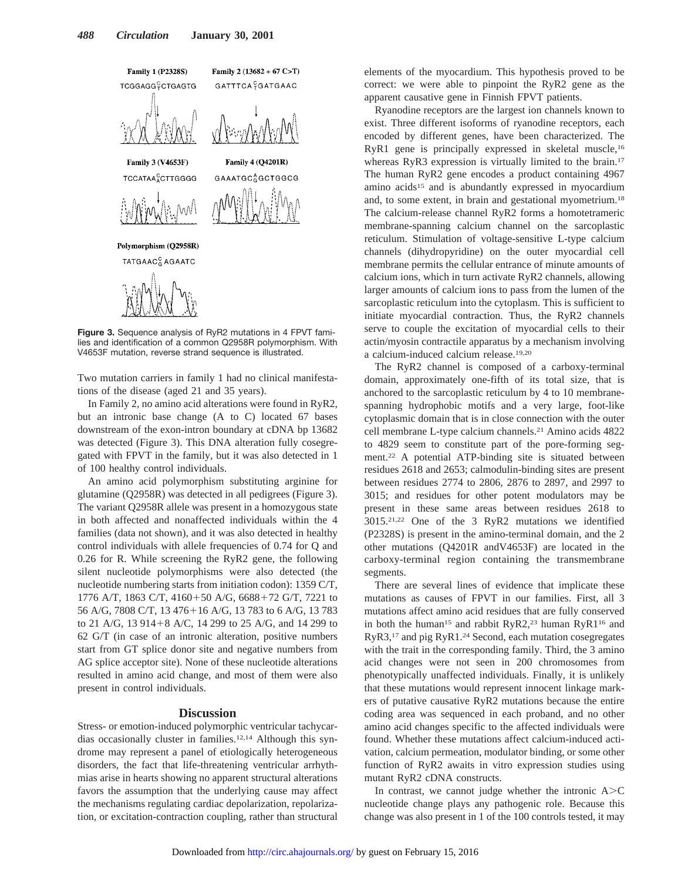

Polymorphism (Q2958R)



**Figure 3.** Sequence analysis of RyR2 mutations in 4 FPVT families and identification of a common Q2958R polymorphism. With V4653F mutation, reverse strand sequence is illustrated.

Two mutation carriers in family 1 had no clinical manifestations of the disease (aged 21 and 35 years).

In Family 2, no amino acid alterations were found in RyR2, but an intronic base change (A to C) located 67 bases downstream of the exon-intron boundary at cDNA bp 13682 was detected (Figure 3). This DNA alteration fully cosegregated with FPVT in the family, but it was also detected in 1 of 100 healthy control individuals.

An amino acid polymorphism substituting arginine for glutamine (Q2958R) was detected in all pedigrees (Figure 3). The variant Q2958R allele was present in a homozygous state in both affected and nonaffected individuals within the 4 families (data not shown), and it was also detected in healthy control individuals with allele frequencies of 0.74 for Q and 0.26 for R. While screening the RyR2 gene, the following silent nucleotide polymorphisms were also detected (the nucleotide numbering starts from initiation codon): 1359 C/T, 1776 A/T, 1863 C/T, 4160+50 A/G, 6688+72 G/T, 7221 to 56 A/G, 7808 C/T, 13 476+16 A/G, 13 783 to 6 A/G, 13 783 to 21 A/G, 13 914+8 A/C, 14 299 to 25 A/G, and 14 299 to 62 G/T (in case of an intronic alteration, positive numbers start from GT splice donor site and negative numbers from AG splice acceptor site). None of these nucleotide alterations resulted in amino acid change, and most of them were also present in control individuals.

#### **Discussion**

Stress- or emotion-induced polymorphic ventricular tachycardias occasionally cluster in families.12,14 Although this syndrome may represent a panel of etiologically heterogeneous disorders, the fact that life-threatening ventricular arrhythmias arise in hearts showing no apparent structural alterations favors the assumption that the underlying cause may affect the mechanisms regulating cardiac depolarization, repolarization, or excitation-contraction coupling, rather than structural

elements of the myocardium. This hypothesis proved to be correct: we were able to pinpoint the RyR2 gene as the apparent causative gene in Finnish FPVT patients.

Ryanodine receptors are the largest ion channels known to exist. Three different isoforms of ryanodine receptors, each encoded by different genes, have been characterized. The RyR1 gene is principally expressed in skeletal muscle,16 whereas RyR3 expression is virtually limited to the brain.<sup>17</sup> The human RyR2 gene encodes a product containing 4967 amino acids15 and is abundantly expressed in myocardium and, to some extent, in brain and gestational myometrium.18 The calcium-release channel RyR2 forms a homotetrameric membrane-spanning calcium channel on the sarcoplastic reticulum. Stimulation of voltage-sensitive L-type calcium channels (dihydropyridine) on the outer myocardial cell membrane permits the cellular entrance of minute amounts of calcium ions, which in turn activate RyR2 channels, allowing larger amounts of calcium ions to pass from the lumen of the sarcoplastic reticulum into the cytoplasm. This is sufficient to initiate myocardial contraction. Thus, the RyR2 channels serve to couple the excitation of myocardial cells to their actin/myosin contractile apparatus by a mechanism involving a calcium-induced calcium release.19,20

The RyR2 channel is composed of a carboxy-terminal domain, approximately one-fifth of its total size, that is anchored to the sarcoplastic reticulum by 4 to 10 membranespanning hydrophobic motifs and a very large, foot-like cytoplasmic domain that is in close connection with the outer cell membrane L-type calcium channels.21 Amino acids 4822 to 4829 seem to constitute part of the pore-forming segment.22 A potential ATP-binding site is situated between residues 2618 and 2653; calmodulin-binding sites are present between residues 2774 to 2806, 2876 to 2897, and 2997 to 3015; and residues for other potent modulators may be present in these same areas between residues 2618 to 3015.21,22 One of the 3 RyR2 mutations we identified (P2328S) is present in the amino-terminal domain, and the 2 other mutations (Q4201R andV4653F) are located in the carboxy-terminal region containing the transmembrane segments.

There are several lines of evidence that implicate these mutations as causes of FPVT in our families. First, all 3 mutations affect amino acid residues that are fully conserved in both the human<sup>15</sup> and rabbit RyR2,<sup>23</sup> human RyR1<sup>16</sup> and RyR3,17 and pig RyR1.24 Second, each mutation cosegregates with the trait in the corresponding family. Third, the 3 amino acid changes were not seen in 200 chromosomes from phenotypically unaffected individuals. Finally, it is unlikely that these mutations would represent innocent linkage markers of putative causative RyR2 mutations because the entire coding area was sequenced in each proband, and no other amino acid changes specific to the affected individuals were found. Whether these mutations affect calcium-induced activation, calcium permeation, modulator binding, or some other function of RyR2 awaits in vitro expression studies using mutant RyR2 cDNA constructs.

In contrast, we cannot judge whether the intronic  $A > C$ nucleotide change plays any pathogenic role. Because this change was also present in 1 of the 100 controls tested, it may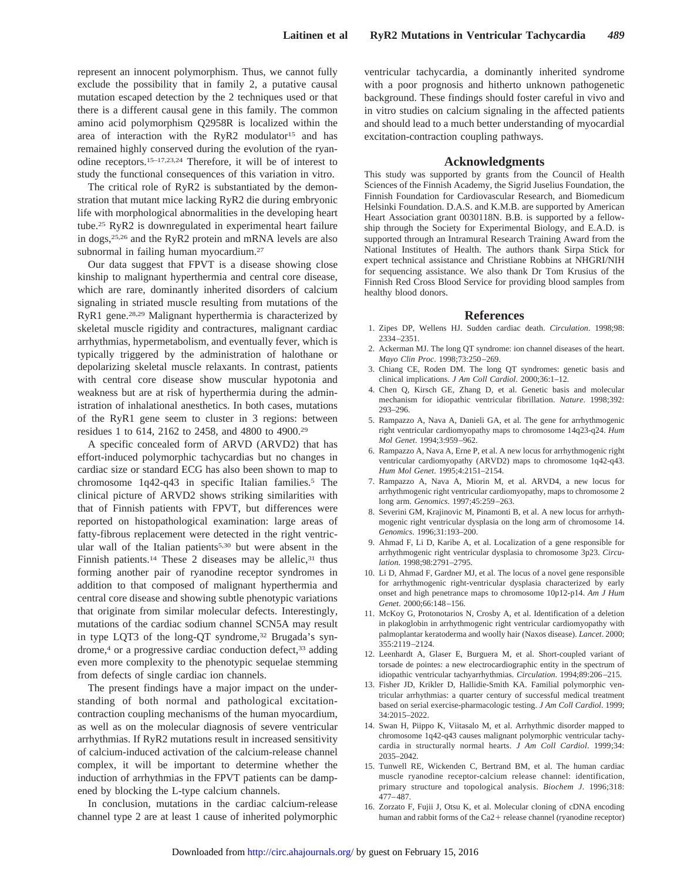represent an innocent polymorphism. Thus, we cannot fully exclude the possibility that in family 2, a putative causal mutation escaped detection by the 2 techniques used or that there is a different causal gene in this family. The common amino acid polymorphism Q2958R is localized within the area of interaction with the RyR2 modulator<sup>15</sup> and has remained highly conserved during the evolution of the ryanodine receptors.15–17,23,24 Therefore, it will be of interest to study the functional consequences of this variation in vitro.

The critical role of RyR2 is substantiated by the demonstration that mutant mice lacking RyR2 die during embryonic life with morphological abnormalities in the developing heart tube.25 RyR2 is downregulated in experimental heart failure in dogs,25,26 and the RyR2 protein and mRNA levels are also subnormal in failing human myocardium.<sup>27</sup>

Our data suggest that FPVT is a disease showing close kinship to malignant hyperthermia and central core disease, which are rare, dominantly inherited disorders of calcium signaling in striated muscle resulting from mutations of the RyR1 gene.28,29 Malignant hyperthermia is characterized by skeletal muscle rigidity and contractures, malignant cardiac arrhythmias, hypermetabolism, and eventually fever, which is typically triggered by the administration of halothane or depolarizing skeletal muscle relaxants. In contrast, patients with central core disease show muscular hypotonia and weakness but are at risk of hyperthermia during the administration of inhalational anesthetics. In both cases, mutations of the RyR1 gene seem to cluster in 3 regions: between residues 1 to 614, 2162 to 2458, and 4800 to 4900.29

A specific concealed form of ARVD (ARVD2) that has effort-induced polymorphic tachycardias but no changes in cardiac size or standard ECG has also been shown to map to chromosome 1q42-q43 in specific Italian families.5 The clinical picture of ARVD2 shows striking similarities with that of Finnish patients with FPVT, but differences were reported on histopathological examination: large areas of fatty-fibrous replacement were detected in the right ventricular wall of the Italian patients<sup>5,30</sup> but were absent in the Finnish patients.<sup>14</sup> These 2 diseases may be allelic,<sup>31</sup> thus forming another pair of ryanodine receptor syndromes in addition to that composed of malignant hyperthermia and central core disease and showing subtle phenotypic variations that originate from similar molecular defects. Interestingly, mutations of the cardiac sodium channel SCN5A may result in type LQT3 of the long-QT syndrome,<sup>32</sup> Brugada's syndrome,<sup>4</sup> or a progressive cardiac conduction defect,<sup>33</sup> adding even more complexity to the phenotypic sequelae stemming from defects of single cardiac ion channels.

The present findings have a major impact on the understanding of both normal and pathological excitationcontraction coupling mechanisms of the human myocardium, as well as on the molecular diagnosis of severe ventricular arrhythmias. If RyR2 mutations result in increased sensitivity of calcium-induced activation of the calcium-release channel complex, it will be important to determine whether the induction of arrhythmias in the FPVT patients can be dampened by blocking the L-type calcium channels.

In conclusion, mutations in the cardiac calcium-release channel type 2 are at least 1 cause of inherited polymorphic ventricular tachycardia, a dominantly inherited syndrome with a poor prognosis and hitherto unknown pathogenetic background. These findings should foster careful in vivo and in vitro studies on calcium signaling in the affected patients and should lead to a much better understanding of myocardial excitation-contraction coupling pathways.

#### **Acknowledgments**

This study was supported by grants from the Council of Health Sciences of the Finnish Academy, the Sigrid Juselius Foundation, the Finnish Foundation for Cardiovascular Research, and Biomedicum Helsinki Foundation. D.A.S. and K.M.B. are supported by American Heart Association grant 0030118N. B.B. is supported by a fellowship through the Society for Experimental Biology, and E.A.D. is supported through an Intramural Research Training Award from the National Institutes of Health. The authors thank Sirpa Stick for expert technical assistance and Christiane Robbins at NHGRI/NIH for sequencing assistance. We also thank Dr Tom Krusius of the Finnish Red Cross Blood Service for providing blood samples from healthy blood donors.

#### **References**

- 1. Zipes DP, Wellens HJ. Sudden cardiac death. *Circulation*. 1998;98: 2334–2351.
- 2. Ackerman MJ. The long QT syndrome: ion channel diseases of the heart. *Mayo Clin Proc*. 1998;73:250–269.
- 3. Chiang CE, Roden DM. The long QT syndromes: genetic basis and clinical implications. *J Am Coll Cardiol*. 2000;36:1–12.
- 4. Chen Q, Kirsch GE, Zhang D, et al. Genetic basis and molecular mechanism for idiopathic ventricular fibrillation. *Nature*. 1998;392: 293–296.
- 5. Rampazzo A, Nava A, Danieli GA, et al. The gene for arrhythmogenic right ventricular cardiomyopathy maps to chromosome 14q23-q24. *Hum Mol Genet*. 1994;3:959–962.
- 6. Rampazzo A, Nava A, Erne P, et al. A new locus for arrhythmogenic right ventricular cardiomyopathy (ARVD2) maps to chromosome 1q42-q43. *Hum Mol Genet*. 1995;4:2151–2154.
- 7. Rampazzo A, Nava A, Miorin M, et al. ARVD4, a new locus for arrhythmogenic right ventricular cardiomyopathy, maps to chromosome 2 long arm. *Genomics*. 1997;45:259–263.
- 8. Severini GM, Krajinovic M, Pinamonti B, et al. A new locus for arrhythmogenic right ventricular dysplasia on the long arm of chromosome 14. *Genomics*. 1996;31:193–200.
- 9. Ahmad F, Li D, Karibe A, et al. Localization of a gene responsible for arrhythmogenic right ventricular dysplasia to chromosome 3p23. *Circulation*. 1998;98:2791–2795.
- 10. Li D, Ahmad F, Gardner MJ, et al. The locus of a novel gene responsible for arrhythmogenic right-ventricular dysplasia characterized by early onset and high penetrance maps to chromosome 10p12-p14. *Am J Hum Genet*. 2000;66:148–156.
- 11. McKoy G, Protonotarios N, Crosby A, et al. Identification of a deletion in plakoglobin in arrhythmogenic right ventricular cardiomyopathy with palmoplantar keratoderma and woolly hair (Naxos disease). *Lancet*. 2000; 355:2119–2124.
- 12. Leenhardt A, Glaser E, Burguera M, et al. Short-coupled variant of torsade de pointes: a new electrocardiographic entity in the spectrum of idiopathic ventricular tachyarrhythmias. *Circulation*. 1994;89:206–215.
- 13. Fisher JD, Krikler D, Hallidie-Smith KA. Familial polymorphic ventricular arrhythmias: a quarter century of successful medical treatment based on serial exercise-pharmacologic testing. *J Am Coll Cardiol*. 1999; 34:2015–2022.
- 14. Swan H, Piippo K, Viitasalo M, et al. Arrhythmic disorder mapped to chromosome 1q42-q43 causes malignant polymorphic ventricular tachycardia in structurally normal hearts. *J Am Coll Cardiol*. 1999;34: 2035–2042.
- 15. Tunwell RE, Wickenden C, Bertrand BM, et al. The human cardiac muscle ryanodine receptor-calcium release channel: identification, primary structure and topological analysis. *Biochem J*. 1996;318: 477–487.
- 16. Zorzato F, Fujii J, Otsu K, et al. Molecular cloning of cDNA encoding human and rabbit forms of the  $Ca2+$  release channel (ryanodine receptor)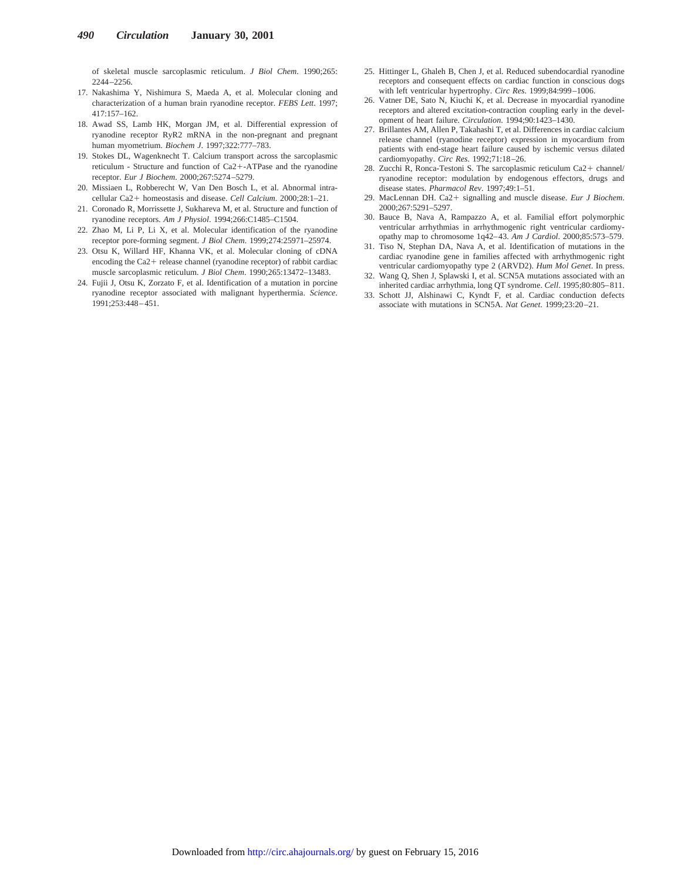of skeletal muscle sarcoplasmic reticulum. *J Biol Chem*. 1990;265: 2244–2256.

- 17. Nakashima Y, Nishimura S, Maeda A, et al. Molecular cloning and characterization of a human brain ryanodine receptor. *FEBS Lett*. 1997; 417:157–162.
- 18. Awad SS, Lamb HK, Morgan JM, et al. Differential expression of ryanodine receptor RyR2 mRNA in the non-pregnant and pregnant human myometrium. *Biochem J*. 1997;322:777–783.
- 19. Stokes DL, Wagenknecht T. Calcium transport across the sarcoplasmic reticulum - Structure and function of Ca2+-ATPase and the ryanodine receptor. *Eur J Biochem*. 2000;267:5274–5279.
- 20. Missiaen L, Robberecht W, Van Den Bosch L, et al. Abnormal intracellular Ca21 homeostasis and disease. *Cell Calcium*. 2000;28:1–21.
- 21. Coronado R, Morrissette J, Sukhareva M, et al. Structure and function of ryanodine receptors. *Am J Physiol*. 1994;266:C1485–C1504.
- 22. Zhao M, Li P, Li X, et al. Molecular identification of the ryanodine receptor pore-forming segment. *J Biol Chem*. 1999;274:25971–25974.
- 23. Otsu K, Willard HF, Khanna VK, et al. Molecular cloning of cDNA encoding the  $Ca2+$  release channel (ryanodine receptor) of rabbit cardiac muscle sarcoplasmic reticulum. *J Biol Chem*. 1990;265:13472–13483.
- 24. Fujii J, Otsu K, Zorzato F, et al. Identification of a mutation in porcine ryanodine receptor associated with malignant hyperthermia. *Science*.  $1991.253.448 - 451$
- 25. Hittinger L, Ghaleh B, Chen J, et al. Reduced subendocardial ryanodine receptors and consequent effects on cardiac function in conscious dogs with left ventricular hypertrophy. *Circ Res*. 1999;84:999–1006.
- 26. Vatner DE, Sato N, Kiuchi K, et al. Decrease in myocardial ryanodine receptors and altered excitation-contraction coupling early in the development of heart failure. *Circulation*. 1994;90:1423–1430.
- 27. Brillantes AM, Allen P, Takahashi T, et al. Differences in cardiac calcium release channel (ryanodine receptor) expression in myocardium from patients with end-stage heart failure caused by ischemic versus dilated cardiomyopathy. *Circ Res*. 1992;71:18–26.
- 28. Zucchi R, Ronca-Testoni S. The sarcoplasmic reticulum Ca2+ channel/ ryanodine receptor: modulation by endogenous effectors, drugs and disease states. *Pharmacol Rev*. 1997;49:1–51.
- 29. MacLennan DH. Ca2+ signalling and muscle disease. *Eur J Biochem*. 2000;267:5291–5297.
- 30. Bauce B, Nava A, Rampazzo A, et al. Familial effort polymorphic ventricular arrhythmias in arrhythmogenic right ventricular cardiomyopathy map to chromosome 1q42–43. *Am J Cardiol*. 2000;85:573–579.
- 31. Tiso N, Stephan DA, Nava A, et al. Identification of mutations in the cardiac ryanodine gene in families affected with arrhythmogenic right ventricular cardiomyopathy type 2 (ARVD2). *Hum Mol Genet*. In press.
- 32. Wang Q, Shen J, Splawski I, et al. SCN5A mutations associated with an inherited cardiac arrhythmia, long QT syndrome. *Cell*. 1995;80:805–811.
- 33. Schott JJ, Alshinawi C, Kyndt F, et al. Cardiac conduction defects associate with mutations in SCN5A. *Nat Genet*. 1999;23:20–21.